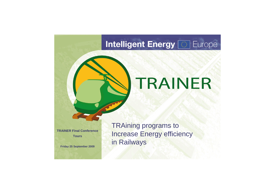## **Intelligent Energy [373] Europe**

# TRAINER

TRAining programs to Increase Energy efficiency in Railways



**TRAINER Final Conference Tours**

**Friday 25 September 2009**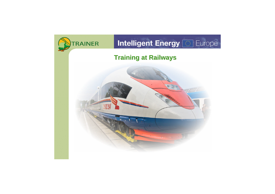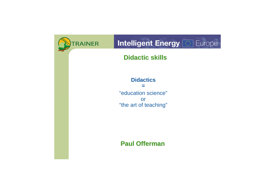

## **Intelligent Energy [65] Europe**

### **Didactic skills**

**Didactics =** "education science" or "the art of teaching"

**Paul Offerman**

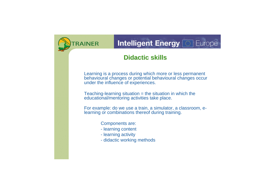## Intelligent Energy

Learning is a process during which more or less permanent behavioural changes or potential behavioural changes occur under the influence of experiences.

Teaching-learning situation = the situation in which the educational/mentoring activities take place.

For example: do we use a train, a simulator, a classroom, elearning or combinations thereof during training.

Components are:

- learning content
- learning activity
- didactic working methods

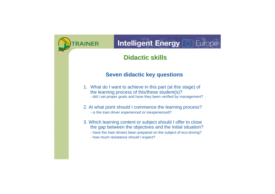## Intelligent Energy

### **Seven didactic key questions**

- 1. What do I want to achieve in this part (at this stage) of the learning process of this/these student(s)? - did I set proper goals and have they been verified by management?
- 2. At what point should I commence the learning process? - is the train driver experienced or inexperienced?
- 3. Which learning content or subject should I offer to close the gap between the objectives and the initial situation?
	- have the train drivers been prepared on the subject of eco-driving?
	- how much resistance should I expect?

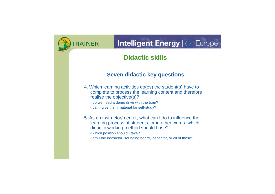## **Intelligent Energy [63] Europe**

### **Seven didactic key questions**

- 4. Which learning activities do(es) the student(s) have to complete to process the learning content and therefore realise the objective(s)?
	- do we need a demo drive with the train?
	- can I give them material for self-study?
- 5. As an instructor/mentor, what can I do to influence the learning process of students, or in other words: which didactic working method should I use?
	- which position should I take?
	- am I the instructor, sounding board, inspector, or all of those?

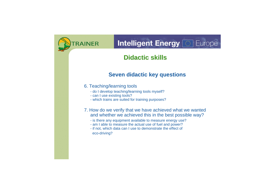## Intelligent Energy

### **Seven didactic key questions**

#### 6. Teaching/learning tools

- do I develop teaching/learning tools myself?
- can I use existing tools?
- which trains are suited for training purposes?
- 7. How do we verify that we have achieved what we wanted and whether we achieved this in the best possible way?
	- is there any equipment available to measure energy use?
	- am I able to measure the actual use of fuel and power?
	- if not, which data can I use to demonstrate the effect of eco-driving?

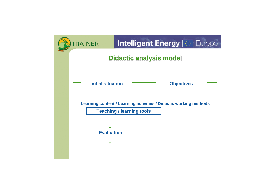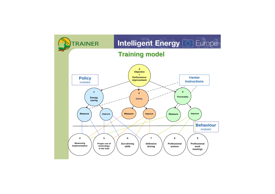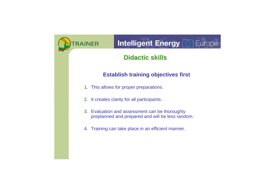

## Intelligent Energy

### **Establish training objectives first**

- 1. This allows for proper preparations.
- 2. It creates clarity for all participants.
- 3. Evaluation and assessment can be thoroughly preplanned and prepared and will be less random.
- 4. Training can take place in an efficient manner.

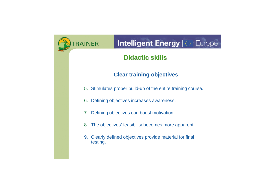## **Intelligent Energy [63] Europe**

### **Clear training objectives**

- 5. Stimulates proper build-up of the entire training course.
- 6. Defining objectives increases awareness.
- 7. Defining objectives can boost motivation.
- 8. The objectives' feasibility becomes more apparent.
- 9. Clearly defined objectives provide material for final testing.

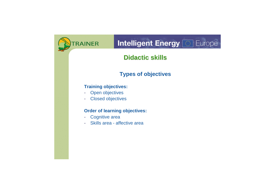## **Intelligent Energy [63] Europe**

### **Types of objectives**

#### **Training objectives:**

- Open objectives
- Closed objectives

#### **Order of learning objectives:**

- Cognitive area
- Skills area affective area

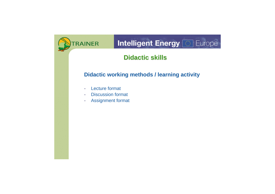

## **Intelligent Energy [63] Europe**

### **Didactic working methods / learning activity**

- Lecture format
- Discussion format
- Assignment format

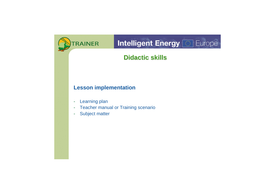

## **Intelligent Energy [63] Europe**

### **Lesson implementation**

- Learning plan
- Teacher manual or Training scenario
- Subject matter

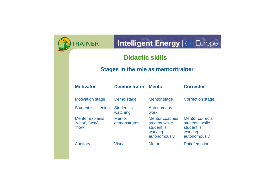

## **Intelligent Energy [65] Europe**



### **Stages in the role as mentor/trainer**

| <b>Motivator</b>                                  | <b>Demonstrator</b>           | <b>Mentor</b>                                                                   | <b>Corrector</b>                                                                  |
|---------------------------------------------------|-------------------------------|---------------------------------------------------------------------------------|-----------------------------------------------------------------------------------|
| <b>Motivation stage</b>                           | Demo stage                    | <b>Mentor stage</b>                                                             | <b>Correction stage</b>                                                           |
| <b>Student is listening</b>                       | <b>Student is</b><br>watching | Autonomous<br>work                                                              |                                                                                   |
| <b>Mentor explains</b><br>"what', "why",<br>"how" | <b>Mentor</b><br>demonstrates | <b>Mentor coaches</b><br>student while<br>student is<br>working<br>autonomously | <b>Mentor corrects</b><br>students while<br>student is<br>working<br>autonomously |
| <b>Auditory</b>                                   | <b>Visual</b>                 | <b>Motor</b>                                                                    | <b>Ratio/emotion</b>                                                              |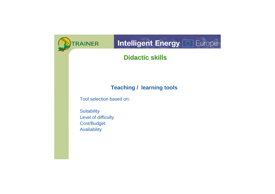## **Intelligent Energy [63] Europe**

### **Teaching / learning tools**

Tool selection based on:

**Suitability** Level of difficulty Cost/Budget **Availability** 

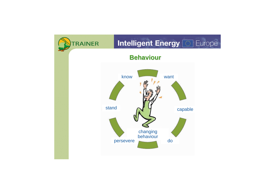

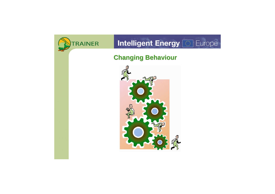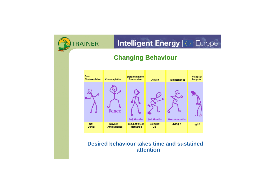

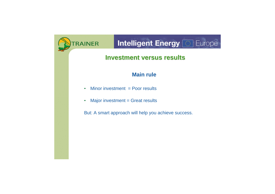## **Intelligent Energy <b>&** Europe

### **Investment versus results**

### **Main rule**

- Minor investment = Poor results
- Major investment = Great results

But: A smart approach will help you achieve success.

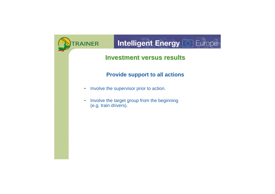## **Intelligent Energy [65] Europe**

### **Investment versus results**

### **Provide support to all actions**

- Involve the supervisor prior to action.
- Involve the target group from the beginning (e.g. train drivers).